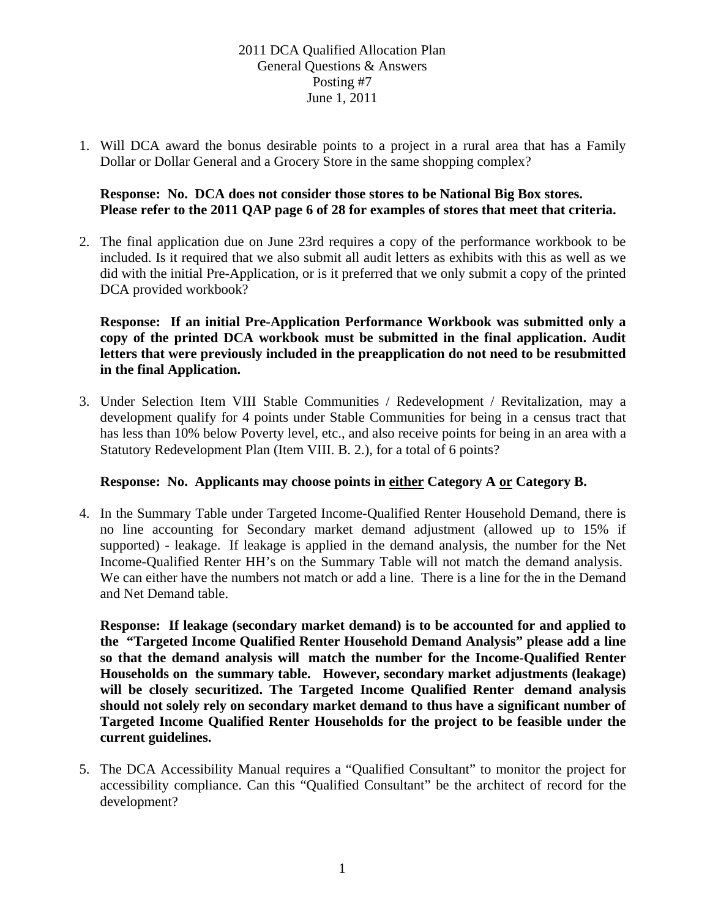# 2011 DCA Qualified Allocation Plan General Questions & Answers Posting #7 June 1, 2011

1. Will DCA award the bonus desirable points to a project in a rural area that has a Family Dollar or Dollar General and a Grocery Store in the same shopping complex?

# **Response: No. DCA does not consider those stores to be National Big Box stores. Please refer to the 2011 QAP page 6 of 28 for examples of stores that meet that criteria.**

2. The final application due on June 23rd requires a copy of the performance workbook to be included. Is it required that we also submit all audit letters as exhibits with this as well as we did with the initial Pre-Application, or is it preferred that we only submit a copy of the printed DCA provided workbook?

**Response: If an initial Pre-Application Performance Workbook was submitted only a copy of the printed DCA workbook must be submitted in the final application. Audit letters that were previously included in the preapplication do not need to be resubmitted in the final Application.** 

3. Under Selection Item VIII Stable Communities / Redevelopment / Revitalization, may a development qualify for 4 points under Stable Communities for being in a census tract that has less than 10% below Poverty level, etc., and also receive points for being in an area with a Statutory Redevelopment Plan (Item VIII. B. 2.), for a total of 6 points?

# **Response: No. Applicants may choose points in either Category A or Category B.**

4. In the Summary Table under Targeted Income-Qualified Renter Household Demand, there is no line accounting for Secondary market demand adjustment (allowed up to 15% if supported) - leakage. If leakage is applied in the demand analysis, the number for the Net Income-Qualified Renter HH's on the Summary Table will not match the demand analysis. We can either have the numbers not match or add a line. There is a line for the in the Demand and Net Demand table.

**Response: If leakage (secondary market demand) is to be accounted for and applied to the "Targeted Income Qualified Renter Household Demand Analysis" please add a line so that the demand analysis will match the number for the Income-Qualified Renter Households on the summary table. However, secondary market adjustments (leakage) will be closely securitized. The Targeted Income Qualified Renter demand analysis should not solely rely on secondary market demand to thus have a significant number of Targeted Income Qualified Renter Households for the project to be feasible under the current guidelines.** 

5. The DCA Accessibility Manual requires a "Qualified Consultant" to monitor the project for accessibility compliance. Can this "Qualified Consultant" be the architect of record for the development?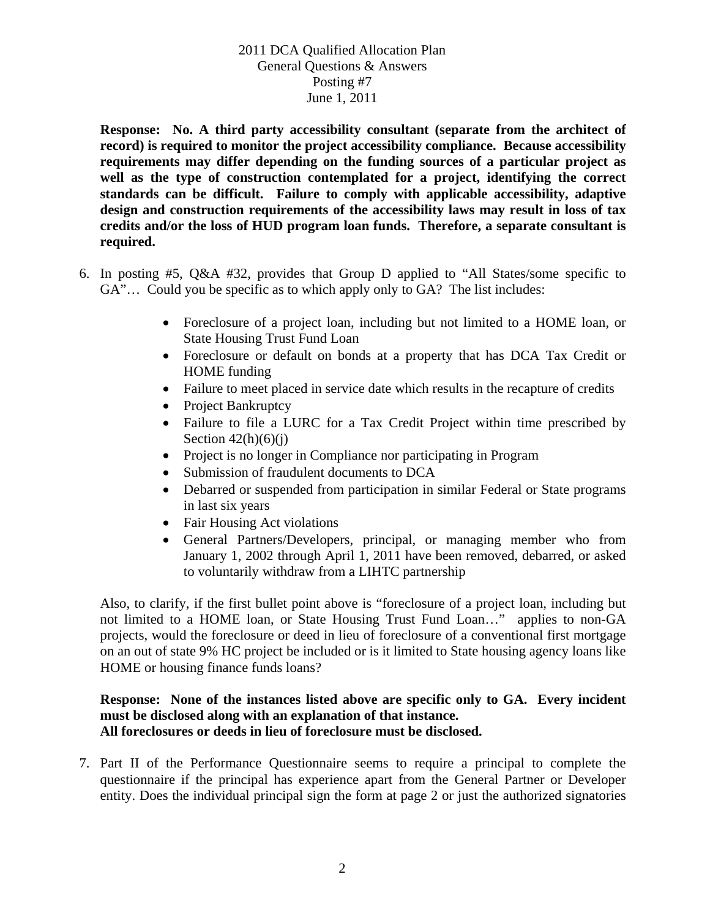# 2011 DCA Qualified Allocation Plan General Questions & Answers Posting #7 June 1, 2011

**Response: No. A third party accessibility consultant (separate from the architect of record) is required to monitor the project accessibility compliance. Because accessibility requirements may differ depending on the funding sources of a particular project as well as the type of construction contemplated for a project, identifying the correct standards can be difficult. Failure to comply with applicable accessibility, adaptive design and construction requirements of the accessibility laws may result in loss of tax credits and/or the loss of HUD program loan funds. Therefore, a separate consultant is required.**

- 6. In posting #5, Q&A #32, provides that Group D applied to "All States/some specific to GA"... Could you be specific as to which apply only to GA? The list includes:
	- Foreclosure of a project loan, including but not limited to a HOME loan, or State Housing Trust Fund Loan
	- Foreclosure or default on bonds at a property that has DCA Tax Credit or HOME funding
	- Failure to meet placed in service date which results in the recapture of credits
	- Project Bankruptcy
	- Failure to file a LURC for a Tax Credit Project within time prescribed by Section  $42(h)(6)(i)$
	- Project is no longer in Compliance nor participating in Program
	- Submission of fraudulent documents to DCA
	- Debarred or suspended from participation in similar Federal or State programs in last six years
	- Fair Housing Act violations
	- General Partners/Developers, principal, or managing member who from January 1, 2002 through April 1, 2011 have been removed, debarred, or asked to voluntarily withdraw from a LIHTC partnership

Also, to clarify, if the first bullet point above is "foreclosure of a project loan, including but not limited to a HOME loan, or State Housing Trust Fund Loan…" applies to non-GA projects, would the foreclosure or deed in lieu of foreclosure of a conventional first mortgage on an out of state 9% HC project be included or is it limited to State housing agency loans like HOME or housing finance funds loans?

#### **Response: None of the instances listed above are specific only to GA. Every incident must be disclosed along with an explanation of that instance. All foreclosures or deeds in lieu of foreclosure must be disclosed.**

7. Part II of the Performance Questionnaire seems to require a principal to complete the questionnaire if the principal has experience apart from the General Partner or Developer entity. Does the individual principal sign the form at page 2 or just the authorized signatories